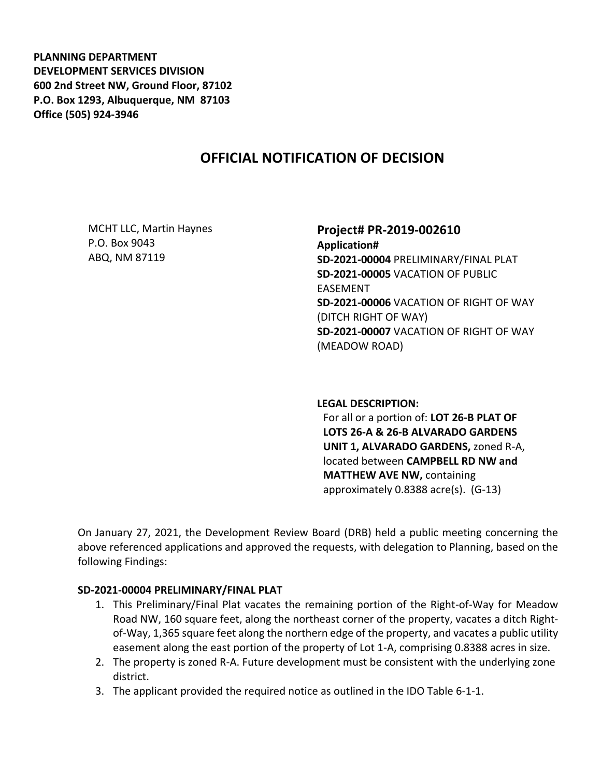**PLANNING DEPARTMENT DEVELOPMENT SERVICES DIVISION 600 2nd Street NW, Ground Floor, 87102 P.O. Box 1293, Albuquerque, NM 87103 Office (505) 924-3946** 

# **OFFICIAL NOTIFICATION OF DECISION**

MCHT LLC, Martin Haynes P.O. Box 9043 ABQ, NM 87119

### **Project# PR-2019-002610**

**Application# SD-2021-00004** PRELIMINARY/FINAL PLAT **SD-2021-00005** VACATION OF PUBLIC EASEMENT **SD-2021-00006** VACATION OF RIGHT OF WAY (DITCH RIGHT OF WAY) **SD-2021-00007** VACATION OF RIGHT OF WAY (MEADOW ROAD)

#### **LEGAL DESCRIPTION:**

For all or a portion of: **LOT 26-B PLAT OF LOTS 26-A & 26-B ALVARADO GARDENS UNIT 1, ALVARADO GARDENS,** zoned R-A, located between **CAMPBELL RD NW and MATTHEW AVE NW,** containing approximately 0.8388 acre(s). (G-13)

On January 27, 2021, the Development Review Board (DRB) held a public meeting concerning the above referenced applications and approved the requests, with delegation to Planning, based on the following Findings:

### **SD-2021-00004 PRELIMINARY/FINAL PLAT**

- 1. This Preliminary/Final Plat vacates the remaining portion of the Right-of-Way for Meadow Road NW, 160 square feet, along the northeast corner of the property, vacates a ditch Rightof-Way, 1,365 square feet along the northern edge of the property, and vacates a public utility easement along the east portion of the property of Lot 1-A, comprising 0.8388 acres in size.
- 2. The property is zoned R-A. Future development must be consistent with the underlying zone district.
- 3. The applicant provided the required notice as outlined in the IDO Table 6-1-1.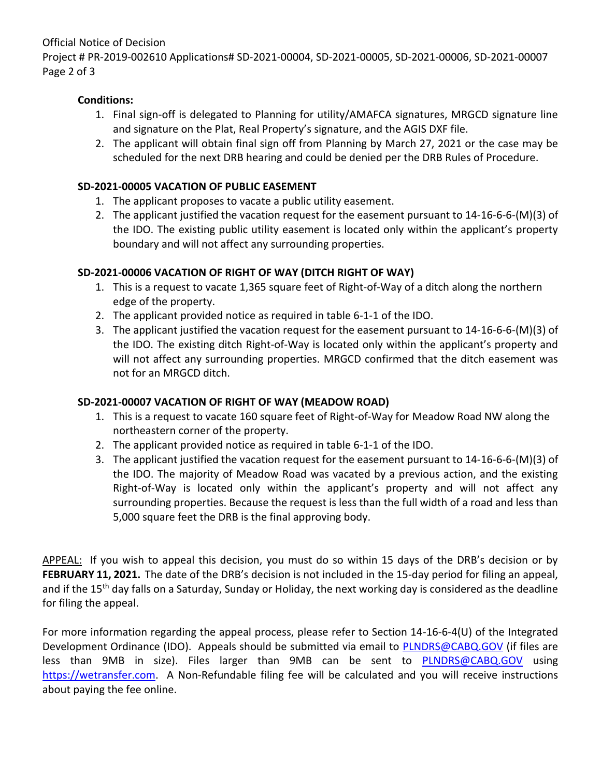Official Notice of Decision

Project # PR-2019-002610 Applications# SD-2021-00004, SD-2021-00005, SD-2021-00006, SD-2021-00007 Page 2 of 3

## **Conditions:**

- 1. Final sign-off is delegated to Planning for utility/AMAFCA signatures, MRGCD signature line and signature on the Plat, Real Property's signature, and the AGIS DXF file.
- 2. The applicant will obtain final sign off from Planning by March 27, 2021 or the case may be scheduled for the next DRB hearing and could be denied per the DRB Rules of Procedure.

## **SD-2021-00005 VACATION OF PUBLIC EASEMENT**

- 1. The applicant proposes to vacate a public utility easement.
- 2. The applicant justified the vacation request for the easement pursuant to 14-16-6-6-(M)(3) of the IDO. The existing public utility easement is located only within the applicant's property boundary and will not affect any surrounding properties.

# **SD-2021-00006 VACATION OF RIGHT OF WAY (DITCH RIGHT OF WAY)**

- 1. This is a request to vacate 1,365 square feet of Right-of-Way of a ditch along the northern edge of the property.
- 2. The applicant provided notice as required in table 6-1-1 of the IDO.
- 3. The applicant justified the vacation request for the easement pursuant to 14-16-6-6-(M)(3) of the IDO. The existing ditch Right-of-Way is located only within the applicant's property and will not affect any surrounding properties. MRGCD confirmed that the ditch easement was not for an MRGCD ditch.

# **SD-2021-00007 VACATION OF RIGHT OF WAY (MEADOW ROAD)**

- 1. This is a request to vacate 160 square feet of Right-of-Way for Meadow Road NW along the northeastern corner of the property.
- 2. The applicant provided notice as required in table 6-1-1 of the IDO.
- 3. The applicant justified the vacation request for the easement pursuant to 14-16-6-6-(M)(3) of the IDO. The majority of Meadow Road was vacated by a previous action, and the existing Right-of-Way is located only within the applicant's property and will not affect any surrounding properties. Because the request is less than the full width of a road and less than 5,000 square feet the DRB is the final approving body.

APPEAL: If you wish to appeal this decision, you must do so within 15 days of the DRB's decision or by **FEBRUARY 11, 2021.** The date of the DRB's decision is not included in the 15-day period for filing an appeal, and if the 15<sup>th</sup> day falls on a Saturday, Sunday or Holiday, the next working day is considered as the deadline for filing the appeal.

For more information regarding the appeal process, please refer to Section 14-16-6-4(U) of the Integrated Development Ordinance (IDO). Appeals should be submitted via email to [PLNDRS@CABQ.GOV](mailto:PLNDRS@CABQ.GOV) (if files are less than 9MB in size). Files larger than 9MB can be sent to **[PLNDRS@CABQ.GOV](mailto:PLNDRS@CABQ.GOV)** using [https://wetransfer.com.](https://wetransfer.com/) A Non-Refundable filing fee will be calculated and you will receive instructions about paying the fee online.